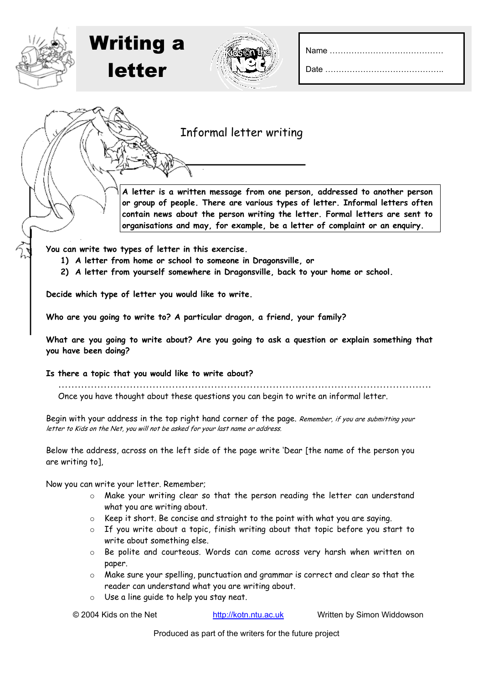Date ……………………………………..





| Informal letter writing |  |  |
|-------------------------|--|--|
|-------------------------|--|--|

**A letter is a written message from one person, addressed to another person or group of people. There are various types of letter. Informal letters often contain news about the person writing the letter. Formal letters are sent to organisations and may, for example, be a letter of complaint or an enquiry.** 

**You can write two types of letter in this exercise.** 

- **1) A letter from home or school to someone in Dragonsville, or**
- **2) A letter from yourself somewhere in Dragonsville, back to your home or school.**

**Decide which type of letter you would like to write.** 

**Who are you going to write to? A particular dragon, a friend, your family?**

**What are you going to write about? Are you going to ask a question or explain something that you have been doing?**

**Is there a topic that you would like to write about?**

……………………………………………………………………………………………………. Once you have thought about these questions you can begin to write an informal letter.

Begin with your address in the top right hand corner of the page. Remember, if you are submitting your letter to Kids on the Net, you will not be asked for your last name or address.

Below the address, across on the left side of the page write 'Dear [the name of the person you are writing to],

Now you can write your letter. Remember;

- o Make your writing clear so that the person reading the letter can understand what you are writing about.
- o Keep it short. Be concise and straight to the point with what you are saying.
- o If you write about a topic, finish writing about that topic before you start to write about something else.
- o Be polite and courteous. Words can come across very harsh when written on paper.
- o Make sure your spelling, punctuation and grammar is correct and clear so that the reader can understand what you are writing about.
- o Use a line guide to help you stay neat.

© 2004 Kids on the Net http://kotn.ntu.ac.uk Written by Simon Widdowson

Produced as part of the writers for the future project